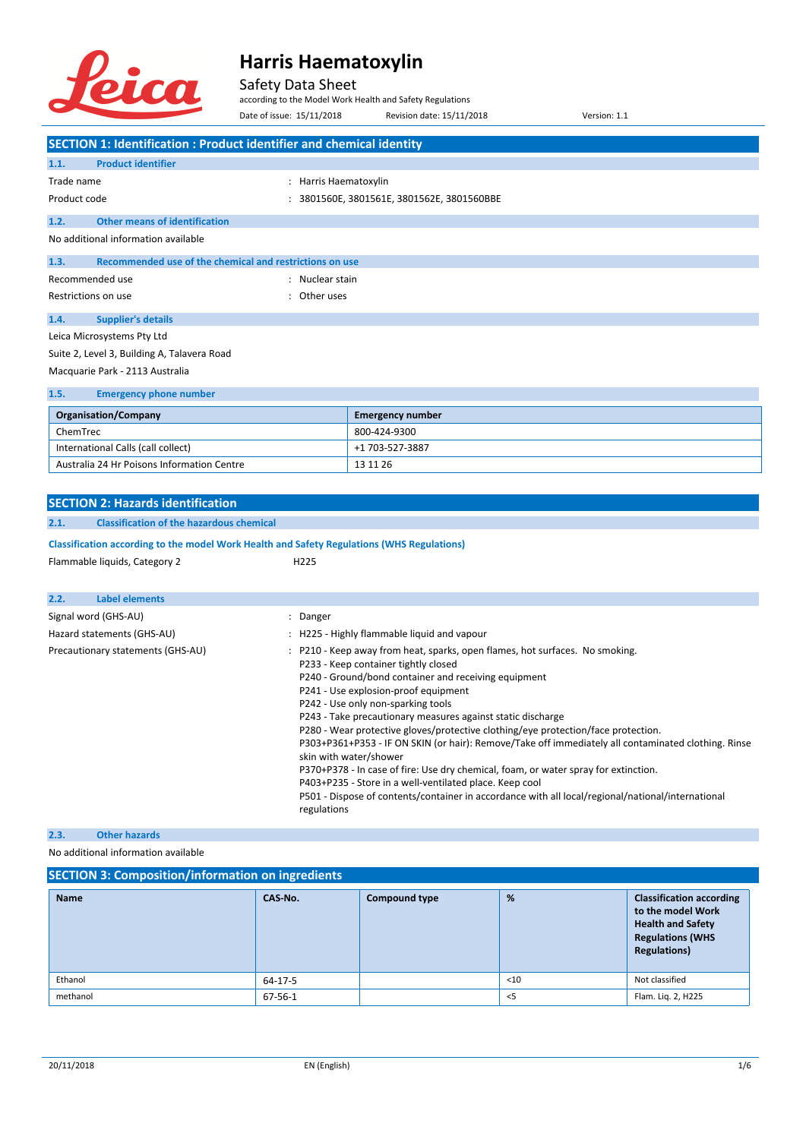

#### Safety Data Sheet

according to the Model Work Health and Safety Regulations

Date of issue: 15/11/2018 Revision date: 15/11/2018 Version: 1.1 **SECTION 1: Identification : Product identifier and chemical identity 1.1. Product identifier** Trade name  $\qquad \qquad : \qquad$  Harris Haematoxylin Product code : 3801560E, 3801561E, 3801562E, 3801560BBE **1.2. Other means of identification** No additional information available **1.3. Recommended use of the chemical and restrictions on use** Recommended use in the set of the state of the Recommended use Restrictions on use the set of the set of the set of the set of the set of the set of the set of the set of the set of the set of the set of the set of the set of the set of the set of the set of the set of the set of the **1.4. Supplier's details** Leica Microsystems Pty Ltd Suite 2, Level 3, Building A, Talavera Road Macquarie Park - 2113 Australia **1.5. Emergency phone number**

| <b>Organisation/Company</b>                | <b>Emergency number</b> |
|--------------------------------------------|-------------------------|
| ChemTrec                                   | 800-424-9300            |
| International Calls (call collect)         | +1 703-527-3887         |
| Australia 24 Hr Poisons Information Centre | 13 11 26                |

|                                                                 | <b>SECTION 2: Hazards identification</b>                                                   |  |                                                                                                                                                                                                                                                                                                                                                                                                                                                                                                                                                                                                                                                                                                                                                                                                                     |  |  |
|-----------------------------------------------------------------|--------------------------------------------------------------------------------------------|--|---------------------------------------------------------------------------------------------------------------------------------------------------------------------------------------------------------------------------------------------------------------------------------------------------------------------------------------------------------------------------------------------------------------------------------------------------------------------------------------------------------------------------------------------------------------------------------------------------------------------------------------------------------------------------------------------------------------------------------------------------------------------------------------------------------------------|--|--|
| 2.1.                                                            | <b>Classification of the hazardous chemical</b>                                            |  |                                                                                                                                                                                                                                                                                                                                                                                                                                                                                                                                                                                                                                                                                                                                                                                                                     |  |  |
|                                                                 | Classification according to the model Work Health and Safety Regulations (WHS Regulations) |  |                                                                                                                                                                                                                                                                                                                                                                                                                                                                                                                                                                                                                                                                                                                                                                                                                     |  |  |
|                                                                 | Flammable liquids, Category 2                                                              |  | H <sub>225</sub>                                                                                                                                                                                                                                                                                                                                                                                                                                                                                                                                                                                                                                                                                                                                                                                                    |  |  |
|                                                                 |                                                                                            |  |                                                                                                                                                                                                                                                                                                                                                                                                                                                                                                                                                                                                                                                                                                                                                                                                                     |  |  |
| 2.2.                                                            | <b>Label elements</b>                                                                      |  |                                                                                                                                                                                                                                                                                                                                                                                                                                                                                                                                                                                                                                                                                                                                                                                                                     |  |  |
|                                                                 | Signal word (GHS-AU)                                                                       |  | : Danger                                                                                                                                                                                                                                                                                                                                                                                                                                                                                                                                                                                                                                                                                                                                                                                                            |  |  |
|                                                                 |                                                                                            |  | : H225 - Highly flammable liquid and vapour                                                                                                                                                                                                                                                                                                                                                                                                                                                                                                                                                                                                                                                                                                                                                                         |  |  |
| Hazard statements (GHS-AU)<br>Precautionary statements (GHS-AU) |                                                                                            |  | P210 - Keep away from heat, sparks, open flames, hot surfaces. No smoking.<br>P233 - Keep container tightly closed<br>P240 - Ground/bond container and receiving equipment<br>P241 - Use explosion-proof equipment<br>P242 - Use only non-sparking tools<br>P243 - Take precautionary measures against static discharge<br>P280 - Wear protective gloves/protective clothing/eye protection/face protection.<br>P303+P361+P353 - IF ON SKIN (or hair): Remove/Take off immediately all contaminated clothing. Rinse<br>skin with water/shower<br>P370+P378 - In case of fire: Use dry chemical, foam, or water spray for extinction.<br>P403+P235 - Store in a well-ventilated place. Keep cool<br>P501 - Dispose of contents/container in accordance with all local/regional/national/international<br>regulations |  |  |

### **2.3. Other hazards**

No additional information available

### **SECTION 3: Composition/information on ingredients**

| <b>Name</b> | CAS-No. | <b>Compound type</b> | %      | <b>Classification according</b><br>to the model Work<br><b>Health and Safety</b><br><b>Regulations (WHS</b><br><b>Regulations)</b> |
|-------------|---------|----------------------|--------|------------------------------------------------------------------------------------------------------------------------------------|
| Ethanol     | 64-17-5 |                      | $<$ 10 | Not classified                                                                                                                     |
| methanol    | 67-56-1 |                      | $<$ 5  | Flam. Lig. 2, H225                                                                                                                 |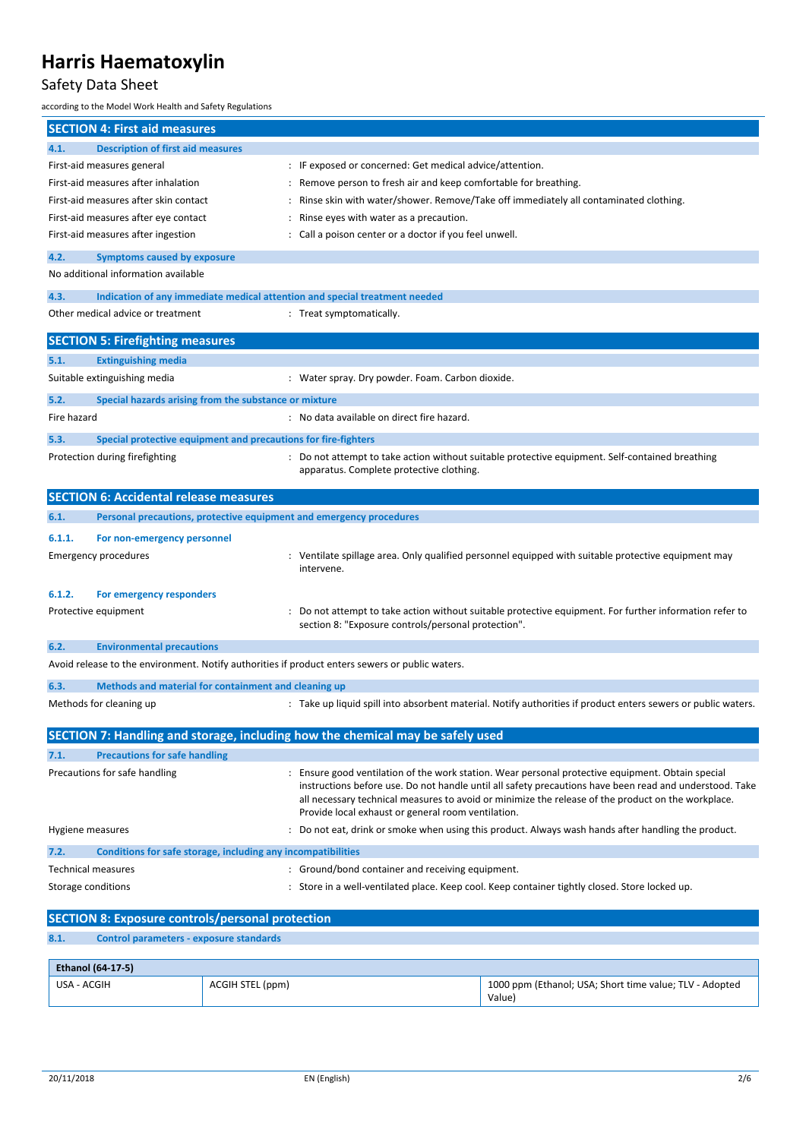### Safety Data Sheet

according to the Model Work Health and Safety Regulations

|                    | <b>SECTION 4: First aid measures</b>                                                            |                                                                                                                                                                                                                                                                                                                                                                          |
|--------------------|-------------------------------------------------------------------------------------------------|--------------------------------------------------------------------------------------------------------------------------------------------------------------------------------------------------------------------------------------------------------------------------------------------------------------------------------------------------------------------------|
| 4.1.               | <b>Description of first aid measures</b>                                                        |                                                                                                                                                                                                                                                                                                                                                                          |
|                    | First-aid measures general                                                                      | : IF exposed or concerned: Get medical advice/attention.                                                                                                                                                                                                                                                                                                                 |
|                    | First-aid measures after inhalation                                                             | Remove person to fresh air and keep comfortable for breathing.                                                                                                                                                                                                                                                                                                           |
|                    | First-aid measures after skin contact                                                           | Rinse skin with water/shower. Remove/Take off immediately all contaminated clothing.                                                                                                                                                                                                                                                                                     |
|                    | First-aid measures after eye contact                                                            | Rinse eyes with water as a precaution.                                                                                                                                                                                                                                                                                                                                   |
|                    | First-aid measures after ingestion                                                              | Call a poison center or a doctor if you feel unwell.                                                                                                                                                                                                                                                                                                                     |
| 4.2.               | <b>Symptoms caused by exposure</b>                                                              |                                                                                                                                                                                                                                                                                                                                                                          |
|                    | No additional information available                                                             |                                                                                                                                                                                                                                                                                                                                                                          |
| 4.3.               | Indication of any immediate medical attention and special treatment needed                      |                                                                                                                                                                                                                                                                                                                                                                          |
|                    | Other medical advice or treatment                                                               | : Treat symptomatically.                                                                                                                                                                                                                                                                                                                                                 |
|                    |                                                                                                 |                                                                                                                                                                                                                                                                                                                                                                          |
|                    | <b>SECTION 5: Firefighting measures</b>                                                         |                                                                                                                                                                                                                                                                                                                                                                          |
| 5.1.               | <b>Extinguishing media</b>                                                                      |                                                                                                                                                                                                                                                                                                                                                                          |
|                    | Suitable extinguishing media                                                                    | : Water spray. Dry powder. Foam. Carbon dioxide.                                                                                                                                                                                                                                                                                                                         |
| 5.2.               | Special hazards arising from the substance or mixture                                           |                                                                                                                                                                                                                                                                                                                                                                          |
| Fire hazard        |                                                                                                 | : No data available on direct fire hazard.                                                                                                                                                                                                                                                                                                                               |
| 5.3.               | Special protective equipment and precautions for fire-fighters                                  |                                                                                                                                                                                                                                                                                                                                                                          |
|                    | Protection during firefighting                                                                  | : Do not attempt to take action without suitable protective equipment. Self-contained breathing<br>apparatus. Complete protective clothing.                                                                                                                                                                                                                              |
|                    | <b>SECTION 6: Accidental release measures</b>                                                   |                                                                                                                                                                                                                                                                                                                                                                          |
| 6.1.               | Personal precautions, protective equipment and emergency procedures                             |                                                                                                                                                                                                                                                                                                                                                                          |
| 6.1.1.             | For non-emergency personnel                                                                     |                                                                                                                                                                                                                                                                                                                                                                          |
|                    | <b>Emergency procedures</b>                                                                     | : Ventilate spillage area. Only qualified personnel equipped with suitable protective equipment may<br>intervene.                                                                                                                                                                                                                                                        |
| 6.1.2.             | For emergency responders                                                                        |                                                                                                                                                                                                                                                                                                                                                                          |
|                    | Protective equipment                                                                            | Do not attempt to take action without suitable protective equipment. For further information refer to<br>section 8: "Exposure controls/personal protection".                                                                                                                                                                                                             |
| 6.2.               | <b>Environmental precautions</b>                                                                |                                                                                                                                                                                                                                                                                                                                                                          |
|                    | Avoid release to the environment. Notify authorities if product enters sewers or public waters. |                                                                                                                                                                                                                                                                                                                                                                          |
| 6.3.               | Methods and material for containment and cleaning up                                            |                                                                                                                                                                                                                                                                                                                                                                          |
|                    | Methods for cleaning up                                                                         | : Take up liquid spill into absorbent material. Notify authorities if product enters sewers or public waters.                                                                                                                                                                                                                                                            |
|                    |                                                                                                 | SECTION 7: Handling and storage, including how the chemical may be safely used                                                                                                                                                                                                                                                                                           |
| 7.1.               | <b>Precautions for safe handling</b>                                                            |                                                                                                                                                                                                                                                                                                                                                                          |
|                    | Precautions for safe handling                                                                   | : Ensure good ventilation of the work station. Wear personal protective equipment. Obtain special<br>instructions before use. Do not handle until all safety precautions have been read and understood. Take<br>all necessary technical measures to avoid or minimize the release of the product on the workplace.<br>Provide local exhaust or general room ventilation. |
| Hygiene measures   |                                                                                                 | Do not eat, drink or smoke when using this product. Always wash hands after handling the product.                                                                                                                                                                                                                                                                        |
| 7.2.               | Conditions for safe storage, including any incompatibilities                                    |                                                                                                                                                                                                                                                                                                                                                                          |
|                    | <b>Technical measures</b>                                                                       | : Ground/bond container and receiving equipment.                                                                                                                                                                                                                                                                                                                         |
| Storage conditions |                                                                                                 | : Store in a well-ventilated place. Keep cool. Keep container tightly closed. Store locked up.                                                                                                                                                                                                                                                                           |
|                    | <b>SECTION 8: Exposure controls/personal protection</b>                                         |                                                                                                                                                                                                                                                                                                                                                                          |
| 8.1.               | <b>Control parameters - exposure standards</b>                                                  |                                                                                                                                                                                                                                                                                                                                                                          |
|                    | Ethanol (64-17-5)                                                                               |                                                                                                                                                                                                                                                                                                                                                                          |

| .           |                  |                                                         |
|-------------|------------------|---------------------------------------------------------|
| USA - ACGIH | ACGIH STEL (ppm) | 1000 ppm (Ethanol; USA; Short time value; TLV - Adopted |
|             |                  | Value,                                                  |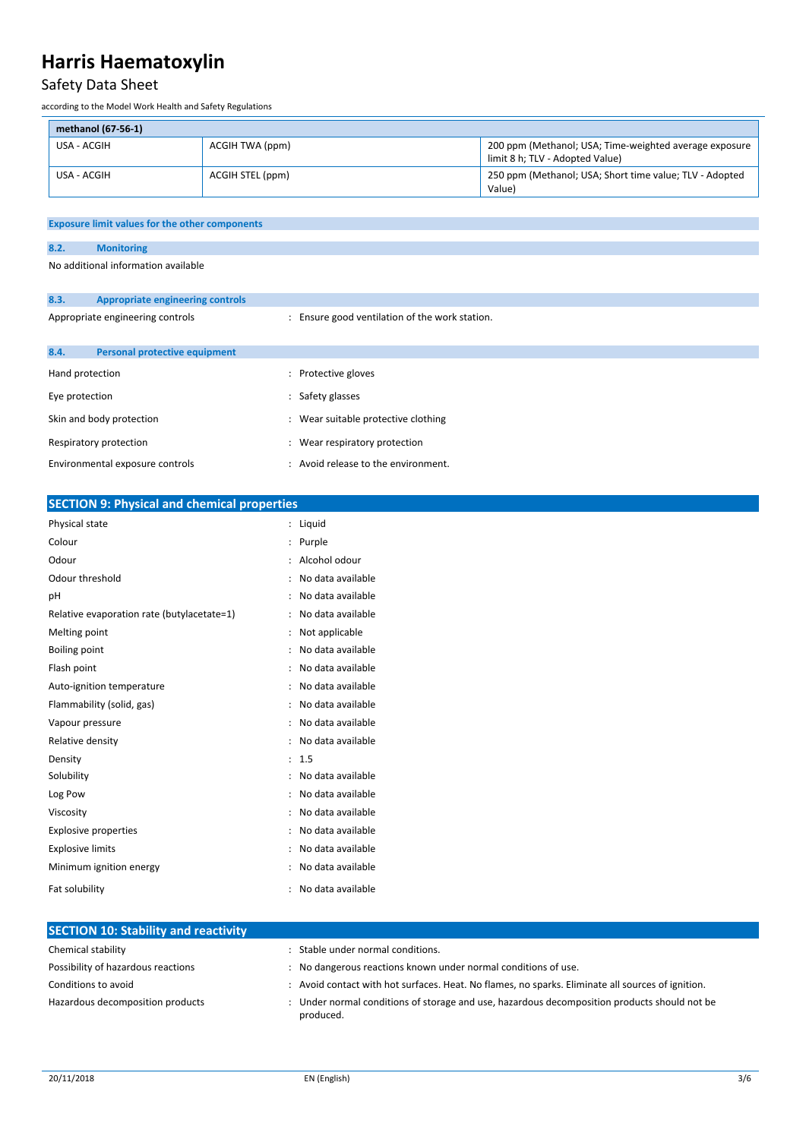## Safety Data Sheet

according to the Model Work Health and Safety Regulations

| methanol (67-56-1) |                  |                                                                                           |
|--------------------|------------------|-------------------------------------------------------------------------------------------|
| USA - ACGIH        | ACGIH TWA (ppm)  | 200 ppm (Methanol; USA; Time-weighted average exposure<br>limit 8 h; TLV - Adopted Value) |
| USA - ACGIH        | ACGIH STEL (ppm) | 250 ppm (Methanol; USA; Short time value; TLV - Adopted<br>Value)                         |

**8.2. Monitoring**

No additional information available

| 8.3.                             | Appropriate engineering controls     |   |                                              |
|----------------------------------|--------------------------------------|---|----------------------------------------------|
| Appropriate engineering controls |                                      |   | Ensure good ventilation of the work station. |
| 8.4.                             | <b>Personal protective equipment</b> |   |                                              |
| Hand protection                  |                                      | ٠ | Protective gloves                            |
| Eye protection                   |                                      |   | Safety glasses                               |
|                                  | Skin and body protection             |   | Wear suitable protective clothing            |
| Respiratory protection           |                                      | ٠ | Wear respiratory protection                  |
| Environmental exposure controls  |                                      |   | Avoid release to the environment.            |

| <b>SECTION 9: Physical and chemical properties</b> |                                           |  |  |
|----------------------------------------------------|-------------------------------------------|--|--|
| Physical state                                     | : Liquid                                  |  |  |
| Colour                                             | Purple                                    |  |  |
| Odour                                              | : Alcohol odour                           |  |  |
| Odour threshold                                    | : No data available                       |  |  |
| pH                                                 | No data available                         |  |  |
| Relative evaporation rate (butylacetate=1)         | No data available<br>$\cdot$              |  |  |
| Melting point                                      | Not applicable                            |  |  |
| <b>Boiling point</b>                               | : No data available                       |  |  |
| Flash point                                        | No data available<br>$\ddot{\phantom{a}}$ |  |  |
| Auto-ignition temperature                          | No data available<br>÷                    |  |  |
| Flammability (solid, gas)                          | : No data available                       |  |  |
| Vapour pressure                                    | : No data available                       |  |  |
| Relative density                                   | No data available<br>$\ddot{\cdot}$       |  |  |
| Density                                            | : 1.5                                     |  |  |
| Solubility                                         | No data available<br>÷                    |  |  |
| Log Pow                                            | No data available<br>٠                    |  |  |
| Viscosity                                          | No data available<br>$\ddot{\phantom{a}}$ |  |  |
| <b>Explosive properties</b>                        | No data available                         |  |  |
| <b>Explosive limits</b>                            | No data available<br>۰                    |  |  |
| Minimum ignition energy                            | : No data available                       |  |  |
| Fat solubility                                     | No data available<br>÷                    |  |  |

| <b>SECTION 10: Stability and reactivity</b> |                                                                                                           |
|---------------------------------------------|-----------------------------------------------------------------------------------------------------------|
| Chemical stability                          | Stable under normal conditions.                                                                           |
| Possibility of hazardous reactions          | : No dangerous reactions known under normal conditions of use.                                            |
| Conditions to avoid                         | Avoid contact with hot surfaces. Heat. No flames, no sparks. Eliminate all sources of ignition.           |
| Hazardous decomposition products            | : Under normal conditions of storage and use, hazardous decomposition products should not be<br>produced. |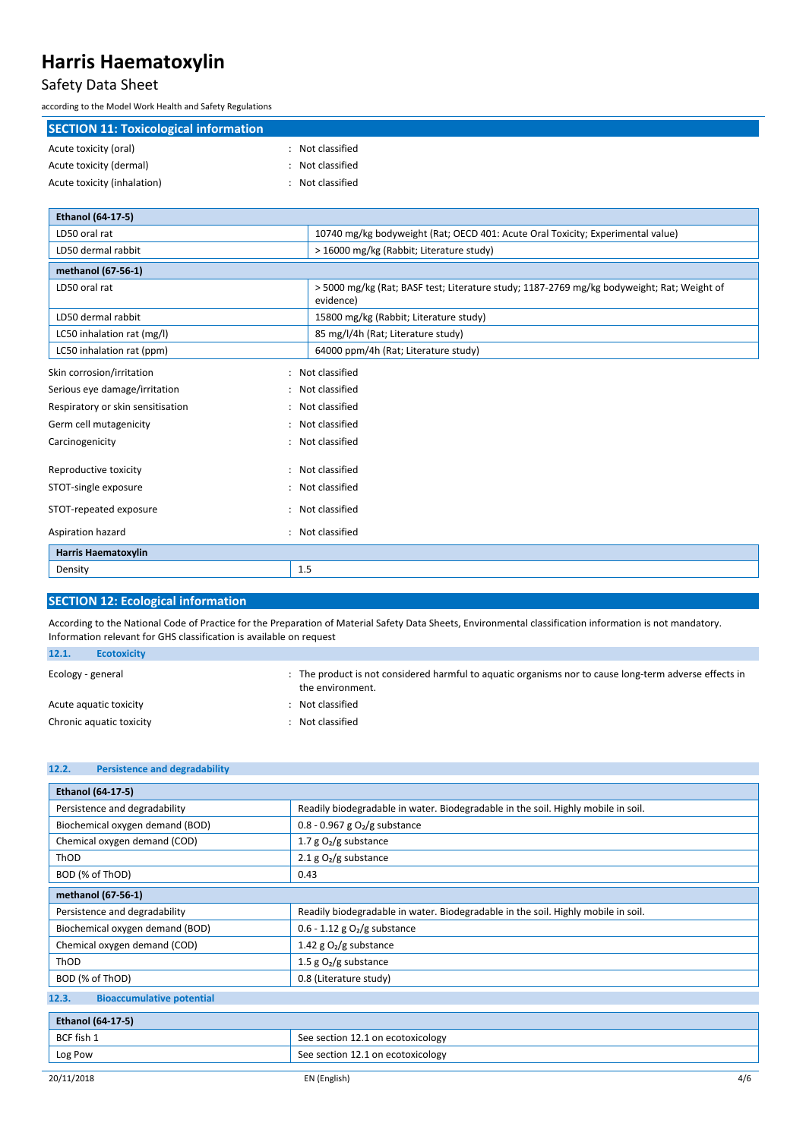### Safety Data Sheet

according to the Model Work Health and Safety Regulations

LD50 dermal rabbit 15800 mg/kg (Rabbit; Literature study) LC50 inhalation rat (mg/l) and the study of the SS mg/l/4h (Rat; Literature study)

| <b>SECTION 11: Toxicological information</b> |                                                                                                        |
|----------------------------------------------|--------------------------------------------------------------------------------------------------------|
| Acute toxicity (oral)                        | Not classified                                                                                         |
| Acute toxicity (dermal)                      | Not classified                                                                                         |
| Acute toxicity (inhalation)                  | Not classified<br>$\bullet$                                                                            |
|                                              |                                                                                                        |
| <b>Ethanol (64-17-5)</b>                     |                                                                                                        |
| LD50 oral rat                                | 10740 mg/kg bodyweight (Rat; OECD 401: Acute Oral Toxicity; Experimental value)                        |
| LD50 dermal rabbit                           | > 16000 mg/kg (Rabbit; Literature study)                                                               |
| methanol (67-56-1)                           |                                                                                                        |
| LD50 oral rat                                | >5000 mg/kg (Rat; BASF test; Literature study; 1187-2769 mg/kg bodyweight; Rat; Weight of<br>evidence) |

| LC50 inhalation rat (ppm)         |     | 64000 ppm/4h (Rat; Literature study) |
|-----------------------------------|-----|--------------------------------------|
| Skin corrosion/irritation         |     | : Not classified                     |
| Serious eye damage/irritation     |     | : Not classified                     |
| Respiratory or skin sensitisation |     | : Not classified                     |
| Germ cell mutagenicity            |     | : Not classified                     |
| Carcinogenicity                   |     | : Not classified                     |
|                                   |     |                                      |
| Reproductive toxicity             |     | : Not classified                     |
| STOT-single exposure              |     | : Not classified                     |
| STOT-repeated exposure            |     | : Not classified                     |
| Aspiration hazard                 |     | : Not classified                     |
| <b>Harris Haematoxylin</b>        |     |                                      |
| Density                           | 1.5 |                                      |

#### **SECTION 12: Ecological information**

According to the National Code of Practice for the Preparation of Material Safety Data Sheets, Environmental classification information is not mandatory. Information relevant for GHS classification is available on request

| 12.1.             | <b>Ecotoxicity</b>       |                                                                                                                          |
|-------------------|--------------------------|--------------------------------------------------------------------------------------------------------------------------|
| Ecology - general |                          | The product is not considered harmful to aguatic organisms nor to cause long-term adverse effects in<br>the environment. |
|                   | Acute aguatic toxicity   | Not classified                                                                                                           |
|                   | Chronic aquatic toxicity | Not classified                                                                                                           |

| <b>Persistence and degradability</b><br>12.2. |                                                                                   |  |
|-----------------------------------------------|-----------------------------------------------------------------------------------|--|
| Ethanol (64-17-5)                             |                                                                                   |  |
| Persistence and degradability                 | Readily biodegradable in water. Biodegradable in the soil. Highly mobile in soil. |  |
| Biochemical oxygen demand (BOD)               | $0.8 - 0.967$ g $O2/g$ substance                                                  |  |
| Chemical oxygen demand (COD)                  | 1.7 $g O2/g$ substance                                                            |  |
| ThOD                                          | 2.1 $g O2/g$ substance                                                            |  |
| BOD (% of ThOD)                               | 0.43                                                                              |  |
| methanol (67-56-1)                            |                                                                                   |  |
| Persistence and degradability                 | Readily biodegradable in water. Biodegradable in the soil. Highly mobile in soil. |  |
| Biochemical oxygen demand (BOD)               | $0.6 - 1.12$ g O <sub>2</sub> /g substance                                        |  |
| Chemical oxygen demand (COD)                  | 1.42 g $O_2/g$ substance                                                          |  |
| ThOD                                          | 1.5 g $O_2/g$ substance                                                           |  |
| BOD (% of ThOD)                               | 0.8 (Literature study)                                                            |  |
| <b>Bioaccumulative potential</b><br>12.3.     |                                                                                   |  |
| <b>Ethanol (64-17-5)</b>                      |                                                                                   |  |
| BCF fish 1                                    | See section 12.1 on ecotoxicology                                                 |  |
| Log Pow                                       | See section 12.1 on ecotoxicology                                                 |  |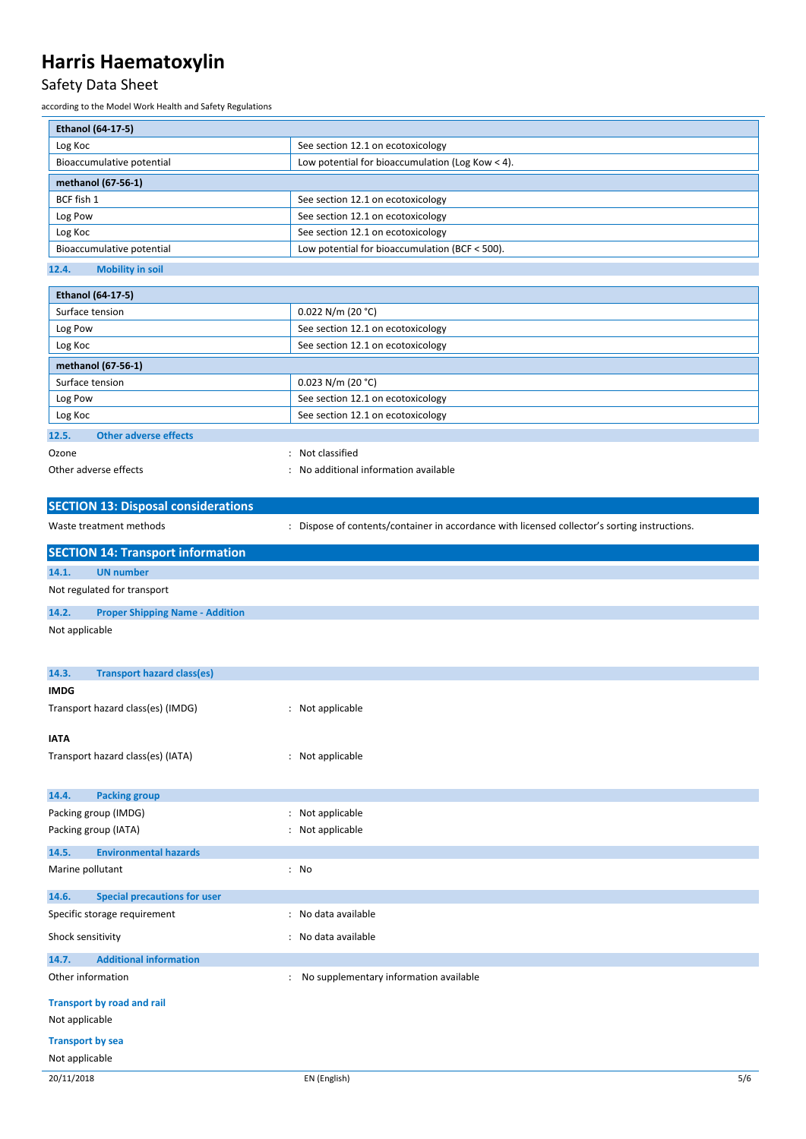### Safety Data Sheet

according to the Model Work Health and Safety Regulations

| Ethanol (64-17-5)                     |                                                  |  |
|---------------------------------------|--------------------------------------------------|--|
| Log Koc                               | See section 12.1 on ecotoxicology                |  |
| Bioaccumulative potential             | Low potential for bioaccumulation (Log Kow < 4). |  |
| methanol (67-56-1)                    |                                                  |  |
| BCF fish 1                            | See section 12.1 on ecotoxicology                |  |
| Log Pow                               | See section 12.1 on ecotoxicology                |  |
| Log Koc                               | See section 12.1 on ecotoxicology                |  |
| Bioaccumulative potential             | Low potential for bioaccumulation (BCF < 500).   |  |
| 42.8<br><b>INVESTIGATION AND REAL</b> |                                                  |  |

| 12.4. | <b>Mobility in soil</b> |  |
|-------|-------------------------|--|
|       |                         |  |

| <b>Ethanol (64-17-5)</b>              |                                     |  |
|---------------------------------------|-------------------------------------|--|
| Surface tension                       | $0.022$ N/m (20 °C)                 |  |
| Log Pow                               | See section 12.1 on ecotoxicology   |  |
| Log Koc                               | See section 12.1 on ecotoxicology   |  |
| methanol (67-56-1)                    |                                     |  |
| Surface tension                       | $0.023$ N/m (20 °C)                 |  |
| Log Pow                               | See section 12.1 on ecotoxicology   |  |
| Log Koc                               | See section 12.1 on ecotoxicology   |  |
| <b>Other adverse effects</b><br>12.5. |                                     |  |
| Ozone                                 | Not classified                      |  |
| Other adverse effects                 | No additional information available |  |

|                         | <b>SECTION 13: Disposal considerations</b> |                |                                                                                               |     |
|-------------------------|--------------------------------------------|----------------|-----------------------------------------------------------------------------------------------|-----|
|                         | Waste treatment methods                    |                | : Dispose of contents/container in accordance with licensed collector's sorting instructions. |     |
|                         | <b>SECTION 14: Transport information</b>   |                |                                                                                               |     |
| 14.1.                   | <b>UN number</b>                           |                |                                                                                               |     |
|                         | Not regulated for transport                |                |                                                                                               |     |
| 14.2.                   | <b>Proper Shipping Name - Addition</b>     |                |                                                                                               |     |
| Not applicable          |                                            |                |                                                                                               |     |
| 14.3.                   | <b>Transport hazard class(es)</b>          |                |                                                                                               |     |
| <b>IMDG</b>             |                                            |                |                                                                                               |     |
|                         | Transport hazard class(es) (IMDG)          |                | : Not applicable                                                                              |     |
| <b>IATA</b>             |                                            |                |                                                                                               |     |
|                         | Transport hazard class(es) (IATA)          |                | : Not applicable                                                                              |     |
| 14.4.                   | <b>Packing group</b>                       |                |                                                                                               |     |
|                         | Packing group (IMDG)                       | ÷              | Not applicable                                                                                |     |
|                         | Packing group (IATA)                       |                | : Not applicable                                                                              |     |
| 14.5.                   | <b>Environmental hazards</b>               |                |                                                                                               |     |
| Marine pollutant        |                                            |                | : No                                                                                          |     |
| 14.6.                   | <b>Special precautions for user</b>        |                |                                                                                               |     |
|                         | Specific storage requirement               |                | : No data available                                                                           |     |
| Shock sensitivity       |                                            |                | : No data available                                                                           |     |
| 14.7.                   | <b>Additional information</b>              |                |                                                                                               |     |
|                         | Other information                          | $\ddot{\cdot}$ | No supplementary information available                                                        |     |
|                         | <b>Transport by road and rail</b>          |                |                                                                                               |     |
| Not applicable          |                                            |                |                                                                                               |     |
| <b>Transport by sea</b> |                                            |                |                                                                                               |     |
| Not applicable          |                                            |                |                                                                                               |     |
| 20/11/2018              |                                            |                | EN (English)                                                                                  | 5/6 |